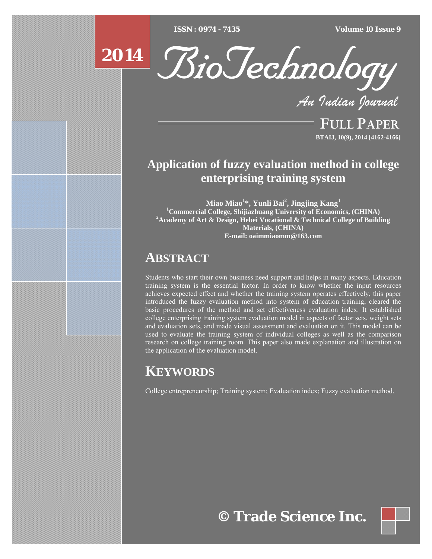[Type text] [Type text] [Type text] *ISSN : 0974 - 7435 Volume 10 Issue 9*





*An Indian Journal*

FULL PAPER **BTAIJ, 10(9), 2014 [4162-4166]**

## **Application of fuzzy evaluation method in college enterprising training system**

**Miao Miao<sup>1</sup> \*, Yunli Bai2 , Jingjing Kang<sup>1</sup>** <sup>1</sup> Commercial College, Shijiazhuang University of Economics, (CHINA) <sup>2</sup><sup>2</sup> Academy of Art & Design, Hebri Vessional & Technical College of Buildi **Academy of Art & Design, Hebei Vocational & Technical College of Building Materials, (CHINA) E-mail: oaimmiaomm@163.com**

### **ABSTRACT**

Students who start their own business need support and helps in many aspects. Education training system is the essential factor. In order to know whether the input resources achieves expected effect and whether the training system operates effectively, this paper introduced the fuzzy evaluation method into system of education training, cleared the basic procedures of the method and set effectiveness evaluation index. It established college enterprising training system evaluation model in aspects of factor sets, weight sets and evaluation sets, and made visual assessment and evaluation on it. This model can be used to evaluate the training system of individual colleges as well as the comparison research on college training room. This paper also made explanation and illustration on the application of the evaluation model.

# **KEYWORDS**

College entrepreneurship; Training system; Evaluation index; Fuzzy evaluation method.

# **© Trade Science Inc.**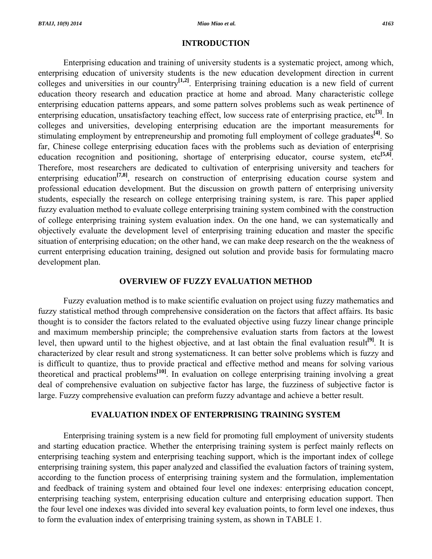#### **INTRODUCTION**

 Enterprising education and training of university students is a systematic project, among which, enterprising education of university students is the new education development direction in current colleges and universities in our country**[1,2]**. Enterprising training education is a new field of current education theory research and education practice at home and abroad. Many characteristic college enterprising education patterns appears, and some pattern solves problems such as weak pertinence of enterprising education, unsatisfactory teaching effect, low success rate of enterprising practice, etc**[3]**. In colleges and universities, developing enterprising education are the important measurements for stimulating employment by entrepreneurship and promoting full employment of college graduates**[4]**. So far, Chinese college enterprising education faces with the problems such as deviation of enterprising education recognition and positioning, shortage of enterprising educator, course system, etc<sup>[5,6]</sup>. Therefore, most researchers are dedicated to cultivation of enterprising university and teachers for enterprising education<sup>[7,8]</sup>, research on construction of enterprising education course system and professional education development. But the discussion on growth pattern of enterprising university students, especially the research on college enterprising training system, is rare. This paper applied fuzzy evaluation method to evaluate college enterprising training system combined with the construction of college enterprising training system evaluation index. On the one hand, we can systematically and objectively evaluate the development level of enterprising training education and master the specific situation of enterprising education; on the other hand, we can make deep research on the the weakness of current enterprising education training, designed out solution and provide basis for formulating macro development plan.

#### **OVERVIEW OF FUZZY EVALUATION METHOD**

 Fuzzy evaluation method is to make scientific evaluation on project using fuzzy mathematics and fuzzy statistical method through comprehensive consideration on the factors that affect affairs. Its basic thought is to consider the factors related to the evaluated objective using fuzzy linear change principle and maximum membership principle; the comprehensive evaluation starts from factors at the lowest level, then upward until to the highest objective, and at last obtain the final evaluation result<sup>[9]</sup>. It is characterized by clear result and strong systematicness. It can better solve problems which is fuzzy and is difficult to quantize, thus to provide practical and effective method and means for solving various theoretical and practical problems**[10]**. In evaluation on college enterprising training involving a great deal of comprehensive evaluation on subjective factor has large, the fuzziness of subjective factor is large. Fuzzy comprehensive evaluation can preform fuzzy advantage and achieve a better result.

### **EVALUATION INDEX OF ENTERPRISING TRAINING SYSTEM**

 Enterprising training system is a new field for promoting full employment of university students and starting education practice. Whether the enterprising training system is perfect mainly reflects on enterprising teaching system and enterprising teaching support, which is the important index of college enterprising training system, this paper analyzed and classified the evaluation factors of training system, according to the function process of enterprising training system and the formulation, implementation and feedback of training system and obtained four level one indexes: enterprising education concept, enterprising teaching system, enterprising education culture and enterprising education support. Then the four level one indexes was divided into several key evaluation points, to form level one indexes, thus to form the evaluation index of enterprising training system, as shown in TABLE 1.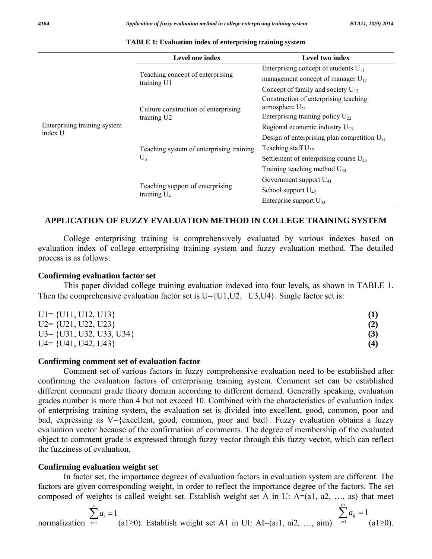|                                         | Level one index                                     | Level two index                                              |  |  |
|-----------------------------------------|-----------------------------------------------------|--------------------------------------------------------------|--|--|
| Enterprising training system<br>index U | Teaching concept of enterprising<br>training U1     | Enterprising concept of students $U_{11}$                    |  |  |
|                                         |                                                     | management concept of manager $U_{12}$                       |  |  |
|                                         |                                                     | Concept of family and society $U_{13}$                       |  |  |
|                                         | Culture construction of enterprising<br>training U2 | Construction of enterprising teaching<br>atmosphere $U_{21}$ |  |  |
|                                         |                                                     | Enterprising training policy $U_{22}$                        |  |  |
|                                         |                                                     | Regional economic industry $U_{23}$                          |  |  |
|                                         | Teaching system of enterprising training<br>$U_3$   | Design of enterprising plan competition $U_{31}$             |  |  |
|                                         |                                                     | Teaching staff $U_{32}$                                      |  |  |
|                                         |                                                     | Settlement of enterprising course $U_{33}$                   |  |  |
|                                         |                                                     | Training teaching method $U_{34}$                            |  |  |
|                                         | Teaching support of enterprising<br>training $U_4$  | Government support $U_{41}$                                  |  |  |
|                                         |                                                     | School support $U_{42}$                                      |  |  |
|                                         |                                                     | Enterprise support $U_{43}$                                  |  |  |

#### **TABLE 1: Evaluation index of enterprising training system**

#### **APPLICATION OF FUZZY EVALUATION METHOD IN COLLEGE TRAINING SYSTEM**

 College enterprising training is comprehensively evaluated by various indexes based on evaluation index of college enterprising training system and fuzzy evaluation method. The detailed process is as follows:

#### **Confirming evaluation factor set**

 This paper divided college training evaluation indexed into four levels, as shown in TABLE 1. Then the comprehensive evaluation factor set is  $U= {U1,U2, U3,U4}$ . Single factor set is:

| $UI = \{U11, U12, U13\}$      |     |
|-------------------------------|-----|
| $U2 = \{U21, U22, U23\}$      | (2) |
| $U3 = \{U31, U32, U33, U34\}$ | (3) |
| $U4 = \{U41, U42, U43\}$      | (4) |

#### **Confirming comment set of evaluation factor**

 Comment set of various factors in fuzzy comprehensive evaluation need to be established after confirming the evaluation factors of enterprising training system. Comment set can be established different comment grade theory domain according to different demand. Generally speaking, evaluation grades number is more than 4 but not exceed 10. Combined with the characteristics of evaluation index of enterprising training system, the evaluation set is divided into excellent, good, common, poor and bad, expressing as  $V = \{ \text{excellent}, \text{good}, \text{common}, \text{poor} \text{ and } \text{bad} \}$ . Fuzzy evaluation obtains a fuzzy evaluation vector because of the confirmation of comments. The degree of membership of the evaluated object to comment grade is expressed through fuzzy vector through this fuzzy vector, which can reflect the fuzziness of evaluation.

#### **Confirming evaluation weight set**

 In factor set, the importance degrees of evaluation factors in evaluation system are different. The factors are given corresponding weight, in order to reflect the importance degree of the factors. The set composed of weights is called weight set. Establish weight set A in U:  $A=(a1, a2, ..., as)$  that meet

normalization 
$$
\sum_{i=1}^{s} a_i = 1
$$
 (a1 $\geq 0$ ). Establish weight set A1 in UI: AI=(ai1, ai2, ..., aim).  $\sum_{j=1}^{m} a_{ij} = 1$  (a1 $\geq 0$ ).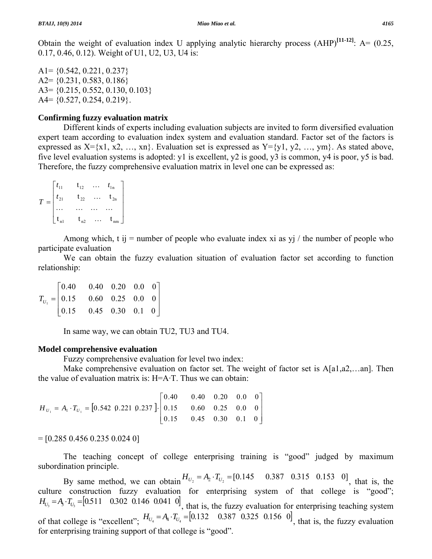Obtain the weight of evaluation index U applying analytic hierarchy process (AHP)**[11-12]**: A= (0.25, 0.17, 0.46, 0.12). Weight of U1, U2, U3, U4 is:

 $A1 = \{0.542, 0.221, 0.237\}$ A2= {0.231, 0.583, 0.186} A3= {0.215, 0.552, 0.130, 0.103}  $A4 = \{0.527, 0.254, 0.219\}.$ 

#### **Confirming fuzzy evaluation matrix**

 Different kinds of experts including evaluation subjects are invited to form diversified evaluation expert team according to evaluation index system and evaluation standard. Factor set of the factors is expressed as  $X=\{x1, x2, ..., xn\}$ . Evaluation set is expressed as  $Y=\{y1, y2, ..., ym\}$ . As stated above, five level evaluation systems is adopted: y1 is excellent, y2 is good, y3 is common, y4 is poor, y5 is bad. Therefore, the fuzzy comprehensive evaluation matrix in level one can be expressed as:

$$
T = \begin{bmatrix} t_{11} & t_{12} & \dots & t_{1n} \\ t_{21} & t_{22} & \dots & t_{2n} \\ \dots & \dots & \dots & \dots \\ t_{n1} & t_{n2} & \dots & t_{nm} \end{bmatrix}
$$

Among which, t ij = number of people who evaluate index xi as yj / the number of people who participate evaluation

 We can obtain the fuzzy evaluation situation of evaluation factor set according to function relationship:

⎥ ⎥  $\overline{\phantom{a}}$ ⎦ ⎤  $\mathsf{I}$  $\mathsf I$  $\mathsf{I}$ ⎣  $\mathsf L$ = 0.15 0.45 0.30 0.1 0 0.15 0.60 0.25 0.0 0 0.40 0.40 0.20 0.0 0  $T_{U_1}$ 

In same way, we can obtain TU2, TU3 and TU4.

#### **Model comprehensive evaluation**

Fuzzy comprehensive evaluation for level two index:

 Make comprehensive evaluation on factor set. The weight of factor set is A[a1,a2,…an]. Then the value of evaluation matrix is:  $H = A \cdot T$ . Thus we can obtain:

$$
H_{U_1} = A_1 \cdot T_{U_1} = \begin{bmatrix} 0.542 & 0.221 & 0.237 \end{bmatrix} \cdot \begin{bmatrix} 0.40 & 0.40 & 0.20 & 0.0 & 0 \\ 0.15 & 0.60 & 0.25 & 0.0 & 0 \\ 0.15 & 0.45 & 0.30 & 0.1 & 0 \end{bmatrix}
$$

 $=[0.285\,0.456\,0.235\,0.024\,0]$ 

 The teaching concept of college enterprising training is "good" judged by maximum subordination principle.

By same method, we can obtain  $H_{U_2} = A_2 \cdot T_{U_2} = [0.145 \quad 0.387 \quad 0.315 \quad 0.153 \quad 0]$ , that is, the culture construction fuzzy evaluation for enterprising system of that college is "good";  $H_{U_3} = A_3 \cdot T_{U_3} = [0.511 \quad 0.302 \quad 0.146 \quad 0.041 \quad 0]$ , that is, the fuzzy evaluation for enterprising teaching system of that college is "excellent";  $H_{U_4} = A_4 \cdot T_{U_4} = [0.132 \quad 0.387 \quad 0.325 \quad 0.156 \quad 0]$ , that is, the fuzzy evaluation for enterprising training support of that college is "good".